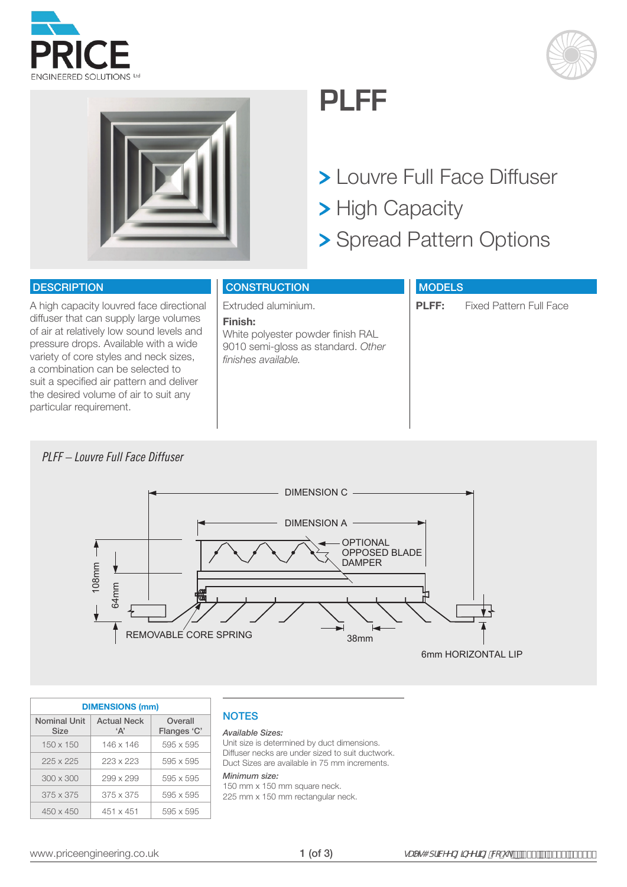





## **PLFF**

- Louvre Full Face Diffuser
- > High Capacity
- > Spread Pattern Options

#### **DESCRIPTION**

A high capacity louvred face directional diffuser that can supply large volumes of air at relatively low sound levels and pressure drops. Available with a wide variety of core styles and neck sizes, a combination can be selected to suit a specified air pattern and deliver the desired volume of air to suit any particular requirement.

### **CONSTRUCTION**

Extruded aluminium.

#### **Finish:**

White polyester powder finish RAL 9010 semi-gloss as standard. *Other finishes available.*

#### **MODELS**

**PLFF:** Fixed Pattern Full Face

## *PLFF – Louvre Full Face Diffuser*



|                             | <b>DIMENSIONS (mm)</b>              |                        |
|-----------------------------|-------------------------------------|------------------------|
| <b>Nominal Unit</b><br>Size | <b>Actual Neck</b><br>$^{\circ}$ A' | Overall<br>Flanges 'C' |
| $150 \times 150$            | 146 x 146                           | $595 \times 595$       |
| $225 \times 225$            | 223 x 223                           | $595 \times 595$       |
| $300 \times 300$            | 299 x 299                           | $595 \times 595$       |
| $375 \times 375$            | 375 x 375                           | $595 \times 595$       |
| $450 \times 450$            | $451 \times 451$                    | $595 \times 595$       |

## **NOTES**

#### *Available Sizes:*

Unit size is determined by duct dimensions. Diffuser necks are under sized to suit ductwork. Duct Sizes are available in 75 mm increments.

#### *Minimum size:*

150 mm x 150 mm square neck. 225 mm x 150 mm rectangular neck.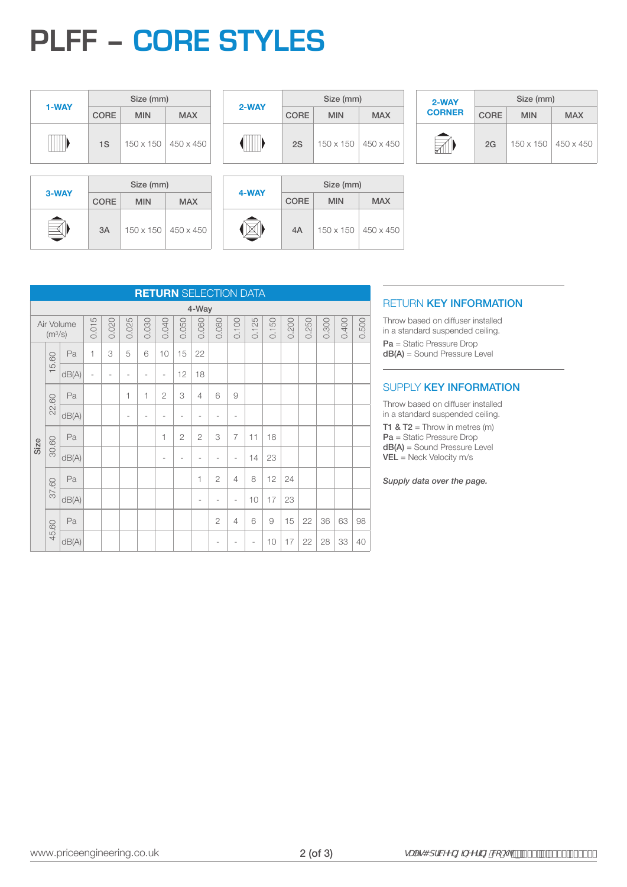# **PLFF – CORE STYLES**

|       |             | Size (mm)             |            |
|-------|-------------|-----------------------|------------|
| 1-WAY | <b>CORE</b> | <b>MIN</b>            | <b>MAX</b> |
|       | 1S          | 150 x 150   450 x 450 |            |

|       |             | Size (mm)  |                       |
|-------|-------------|------------|-----------------------|
| 2-WAY | <b>CORE</b> | <b>MIN</b> | <b>MAX</b>            |
|       | 2S          |            | 150 x 150   450 x 450 |

| 2-WAY         |             | Size (mm)        |                  |
|---------------|-------------|------------------|------------------|
| <b>CORNER</b> | <b>CORE</b> | <b>MIN</b>       | <b>MAX</b>       |
|               | 2G          | $150 \times 150$ | $450 \times 450$ |

|       |             | Size (mm)  |                       |
|-------|-------------|------------|-----------------------|
| 3-WAY | <b>CORE</b> | <b>MIN</b> | <b>MAX</b>            |
|       | 3A          |            | 150 x 150   450 x 450 |

|       | Size (mm)   |                       |            |  |  |  |  |  |  |
|-------|-------------|-----------------------|------------|--|--|--|--|--|--|
| 4-WAY | <b>CORE</b> | <b>MIN</b>            | <b>MAX</b> |  |  |  |  |  |  |
|       | 4A          | 150 x 150   450 x 450 |            |  |  |  |  |  |  |

|       |             | Size (mm)  |                       |
|-------|-------------|------------|-----------------------|
| 4-WAY | <b>CORE</b> | <b>MIN</b> | <b>MAX</b>            |
|       | 4A          |            | 150 x 150   450 x 450 |

| <b>RETURN KEY INFORMATION</b> |  |  |
|-------------------------------|--|--|
|                               |  |  |

Throw based on diffuser installed in a standard suspended ceiling. Pa = Static Pressure Drop dB(A) = Sound Pressure Level

### SUPPLY KEY INFORMATION

Throw based on diffuser installed in a standard suspended ceiling.

**T1 & T2** = Throw in metres  $(m)$ Pa = Static Pressure Drop dB(A) = Sound Pressure Level VEL = Neck Velocity m/s

*Supply data over the page.*

|      |                     |            |                |                          |       |       |                |                | <b>RETURN SELECTION DATA</b> |                          |                |       |       |       |       |       |       |       |
|------|---------------------|------------|----------------|--------------------------|-------|-------|----------------|----------------|------------------------------|--------------------------|----------------|-------|-------|-------|-------|-------|-------|-------|
|      |                     |            |                |                          |       |       |                |                | 4-Way                        |                          |                |       |       |       |       |       |       |       |
|      | (m <sup>3</sup> /s) | Air Volume | 0.015          | 0.020                    | 0.025 | 0.030 | 0.040          | 0.050          | 0.060                        | 0.080                    | 0.100          | 0.125 | 0.150 | 0.200 | 0.250 | 0.300 | 0.400 | 0.500 |
|      | 5.60                | Pa         | 1              | 3                        | 5     | 6     | 10             | 15             | 22                           |                          |                |       |       |       |       |       |       |       |
|      |                     | dB(A)      | $\overline{a}$ | $\overline{\phantom{a}}$ |       |       | $\overline{a}$ | 12             | 18                           |                          |                |       |       |       |       |       |       |       |
|      | 22.60               | Pa         |                |                          | 1     | 1     | $\overline{2}$ | 3              | 4                            | 6                        | 9              |       |       |       |       |       |       |       |
|      |                     | dB(A)      |                |                          | ٠     |       |                | ٠              |                              | ٠                        | ٠              |       |       |       |       |       |       |       |
| Size | 30.60               | Pa         |                |                          |       |       | 1              | $\overline{2}$ | $\overline{2}$               | 3                        | $\overline{7}$ | 11    | 18    |       |       |       |       |       |
|      |                     | dB(A)      |                |                          |       |       | $\overline{a}$ | ٠              | $\overline{\phantom{a}}$     | $\overline{\phantom{a}}$ | ٠              | 14    | 23    |       |       |       |       |       |
|      | 37.60               | Pa         |                |                          |       |       |                |                | 1                            | $\overline{2}$           | 4              | 8     | 12    | 24    |       |       |       |       |
|      |                     | dB(A)      |                |                          |       |       |                |                |                              |                          | ۰              | 10    | 17    | 23    |       |       |       |       |
|      | 45.60               | Pa         |                |                          |       |       |                |                |                              | $\overline{2}$           | 4              | 6     | 9     | 15    | 22    | 36    | 63    | 98    |
|      |                     | dB(A)      |                |                          |       |       |                |                |                              |                          |                | ٠     | 10    | 17    | 22    | 28    | 33    | 40    |